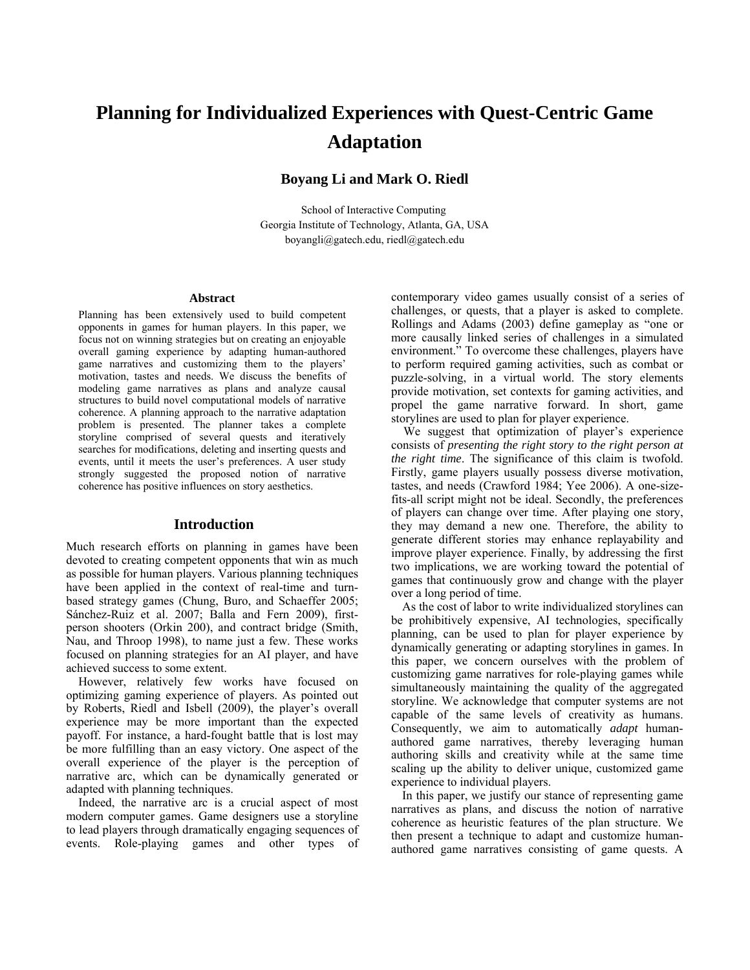# **Planning for Individualized Experiences with Quest-Centric Game Adaptation**

# **Boyang Li and Mark O. Riedl**

School of Interactive Computing Georgia Institute of Technology, Atlanta, GA, USA boyangli@gatech.edu, riedl@gatech.edu

#### **Abstract**

Planning has been extensively used to build competent opponents in games for human players. In this paper, we focus not on winning strategies but on creating an enjoyable overall gaming experience by adapting human-authored game narratives and customizing them to the players' motivation, tastes and needs. We discuss the benefits of modeling game narratives as plans and analyze causal structures to build novel computational models of narrative coherence. A planning approach to the narrative adaptation problem is presented. The planner takes a complete storyline comprised of several quests and iteratively searches for modifications, deleting and inserting quests and events, until it meets the user's preferences. A user study strongly suggested the proposed notion of narrative coherence has positive influences on story aesthetics.

# **Introduction**

Much research efforts on planning in games have been devoted to creating competent opponents that win as much as possible for human players. Various planning techniques have been applied in the context of real-time and turnbased strategy games (Chung, Buro, and Schaeffer 2005; Sánchez-Ruiz et al. 2007; Balla and Fern 2009), firstperson shooters (Orkin 200), and contract bridge (Smith, Nau, and Throop 1998), to name just a few. These works focused on planning strategies for an AI player, and have achieved success to some extent.

 However, relatively few works have focused on optimizing gaming experience of players. As pointed out by Roberts, Riedl and Isbell (2009), the player's overall experience may be more important than the expected payoff. For instance, a hard-fought battle that is lost may be more fulfilling than an easy victory. One aspect of the overall experience of the player is the perception of narrative arc, which can be dynamically generated or adapted with planning techniques.

 Indeed, the narrative arc is a crucial aspect of most modern computer games. Game designers use a storyline to lead players through dramatically engaging sequences of events. Role-playing games and other types of contemporary video games usually consist of a series of challenges, or quests, that a player is asked to complete. Rollings and Adams (2003) define gameplay as "one or more causally linked series of challenges in a simulated environment." To overcome these challenges, players have to perform required gaming activities, such as combat or puzzle-solving, in a virtual world. The story elements provide motivation, set contexts for gaming activities, and propel the game narrative forward. In short, game storylines are used to plan for player experience.

 We suggest that optimization of player's experience consists of *presenting the right story to the right person at the right time*. The significance of this claim is twofold. Firstly, game players usually possess diverse motivation, tastes, and needs (Crawford 1984; Yee 2006). A one-sizefits-all script might not be ideal. Secondly, the preferences of players can change over time. After playing one story, they may demand a new one. Therefore, the ability to generate different stories may enhance replayability and improve player experience. Finally, by addressing the first two implications, we are working toward the potential of games that continuously grow and change with the player over a long period of time.

 As the cost of labor to write individualized storylines can be prohibitively expensive, AI technologies, specifically planning, can be used to plan for player experience by dynamically generating or adapting storylines in games. In this paper, we concern ourselves with the problem of customizing game narratives for role-playing games while simultaneously maintaining the quality of the aggregated storyline. We acknowledge that computer systems are not capable of the same levels of creativity as humans. Consequently, we aim to automatically *adapt* humanauthored game narratives, thereby leveraging human authoring skills and creativity while at the same time scaling up the ability to deliver unique, customized game experience to individual players.

 In this paper, we justify our stance of representing game narratives as plans, and discuss the notion of narrative coherence as heuristic features of the plan structure. We then present a technique to adapt and customize humanauthored game narratives consisting of game quests. A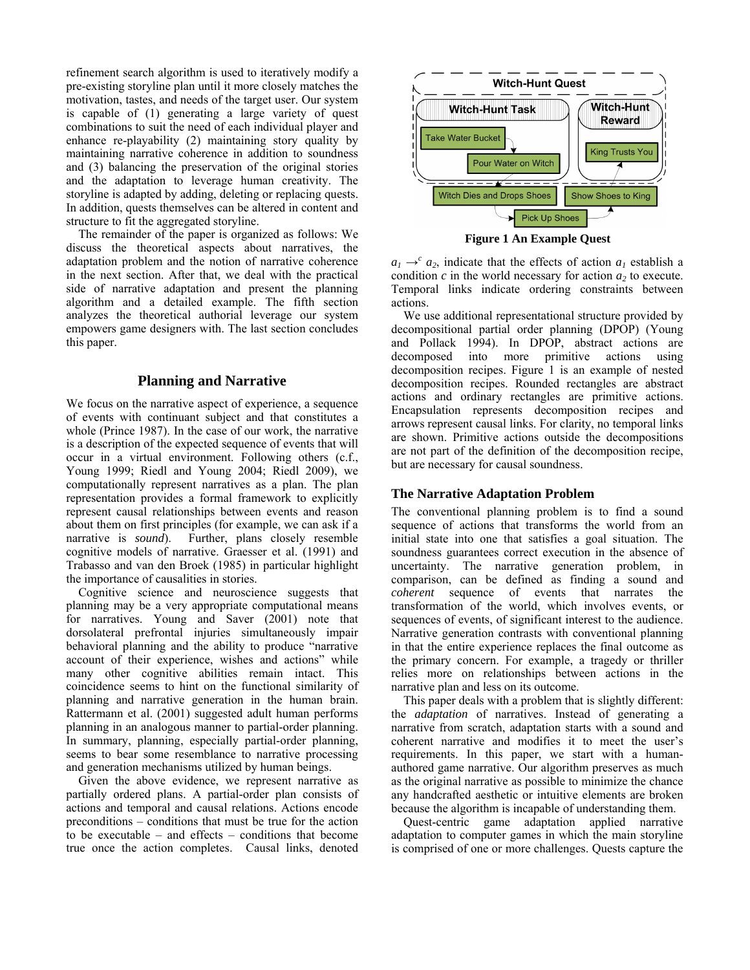refinement search algorithm is used to iteratively modify a pre-existing storyline plan until it more closely matches the motivation, tastes, and needs of the target user. Our system is capable of (1) generating a large variety of quest combinations to suit the need of each individual player and enhance re-playability (2) maintaining story quality by maintaining narrative coherence in addition to soundness and (3) balancing the preservation of the original stories and the adaptation to leverage human creativity. The storyline is adapted by adding, deleting or replacing quests. In addition, quests themselves can be altered in content and structure to fit the aggregated storyline.

 The remainder of the paper is organized as follows: We discuss the theoretical aspects about narratives, the adaptation problem and the notion of narrative coherence in the next section. After that, we deal with the practical side of narrative adaptation and present the planning algorithm and a detailed example. The fifth section analyzes the theoretical authorial leverage our system empowers game designers with. The last section concludes this paper.

# **Planning and Narrative**

We focus on the narrative aspect of experience, a sequence of events with continuant subject and that constitutes a whole (Prince 1987). In the case of our work, the narrative is a description of the expected sequence of events that will occur in a virtual environment. Following others (c.f., Young 1999; Riedl and Young 2004; Riedl 2009), we computationally represent narratives as a plan. The plan representation provides a formal framework to explicitly represent causal relationships between events and reason about them on first principles (for example, we can ask if a narrative is *sound*). Further, plans closely resemble Further, plans closely resemble cognitive models of narrative. Graesser et al. (1991) and Trabasso and van den Broek (1985) in particular highlight the importance of causalities in stories.

 Cognitive science and neuroscience suggests that planning may be a very appropriate computational means for narratives. Young and Saver (2001) note that dorsolateral prefrontal injuries simultaneously impair behavioral planning and the ability to produce "narrative account of their experience, wishes and actions" while many other cognitive abilities remain intact. This coincidence seems to hint on the functional similarity of planning and narrative generation in the human brain. Rattermann et al. (2001) suggested adult human performs planning in an analogous manner to partial-order planning. In summary, planning, especially partial-order planning, seems to bear some resemblance to narrative processing and generation mechanisms utilized by human beings.

 Given the above evidence, we represent narrative as partially ordered plans. A partial-order plan consists of actions and temporal and causal relations. Actions encode preconditions – conditions that must be true for the action to be executable – and effects – conditions that become true once the action completes. Causal links, denoted



**Figure 1 An Example Quest** 

 $a_1 \rightarrow c^c a_2$ , indicate that the effects of action  $a_1$  establish a condition  $c$  in the world necessary for action  $a_2$  to execute. Temporal links indicate ordering constraints between actions.

 We use additional representational structure provided by decompositional partial order planning (DPOP) (Young and Pollack 1994). In DPOP, abstract actions are decomposed into more primitive actions using decomposition recipes. Figure 1 is an example of nested decomposition recipes. Rounded rectangles are abstract actions and ordinary rectangles are primitive actions. Encapsulation represents decomposition recipes and arrows represent causal links. For clarity, no temporal links are shown. Primitive actions outside the decompositions are not part of the definition of the decomposition recipe, but are necessary for causal soundness.

# **The Narrative Adaptation Problem**

The conventional planning problem is to find a sound sequence of actions that transforms the world from an initial state into one that satisfies a goal situation. The soundness guarantees correct execution in the absence of uncertainty. The narrative generation problem, in comparison, can be defined as finding a sound and *coherent* sequence of events that narrates the transformation of the world, which involves events, or sequences of events, of significant interest to the audience. Narrative generation contrasts with conventional planning in that the entire experience replaces the final outcome as the primary concern. For example, a tragedy or thriller relies more on relationships between actions in the narrative plan and less on its outcome.

This paper deals with a problem that is slightly different: the *adaptation* of narratives. Instead of generating a narrative from scratch, adaptation starts with a sound and coherent narrative and modifies it to meet the user's requirements. In this paper, we start with a humanauthored game narrative. Our algorithm preserves as much as the original narrative as possible to minimize the chance any handcrafted aesthetic or intuitive elements are broken because the algorithm is incapable of understanding them.

Quest-centric game adaptation applied narrative adaptation to computer games in which the main storyline is comprised of one or more challenges. Quests capture the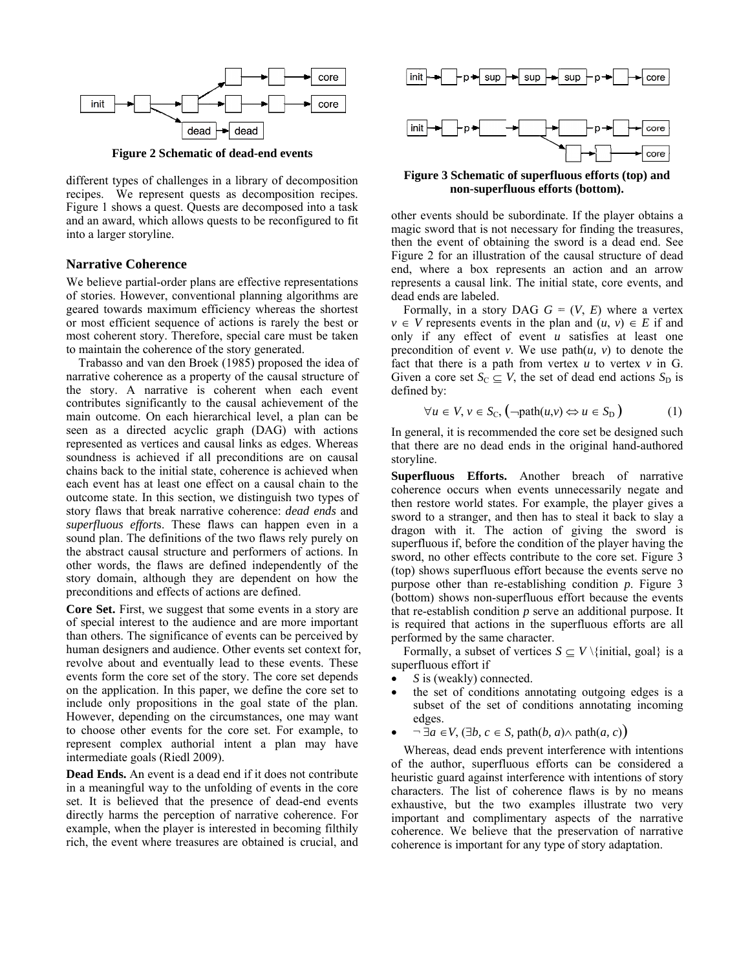

**Figure 2 Schematic of dead-end events** 

different types of challenges in a library of decomposition recipes. We represent quests as decomposition recipes. Figure 1 shows a quest. Quests are decomposed into a task and an award, which allows quests to be reconfigured to fit into a larger storyline.

# **Narrative Coherence**

We believe partial-order plans are effective representations of stories. However, conventional planning algorithms are g geared towards s maximum ef fficiency wher eas the shorte st or most efficient sequence of actions is rarely the best or most coherent story. Therefore, special care must be taken to maintain the coherence of the story generated.

narrative coherence as a property of the causal structure of the story. A narrative is coherent when each event contributes significantly to the causal achievement of the main outcome. On each hierarchical level, a plan can be seen as a directed acyclic graph (DAG) with actions represented as vertices and causal links as edges. Whereas soundness is achieved if all preconditions are on causal chains back to the initial state, coherence is achieved when each event has at least one effect on a causal chain to the outcome state. In this section, we distinguish two types of story flaws that break narrative coherence: *dead ends* and superfluous efforts. These flaws can happen even in a sound plan. The definitions of the two flaws rely purely on the abstract causal structure and performers of actions. In other words, the flaws are defined independently of the story domain, although they are dependent on how the preconditions and effects of actions are defined. Trabasso and van den Broek (1985) proposed the idea of

Core Set. First, we suggest that some events in a story are of special interest to the audience and are more important than others. The significance of events can be perceived by human designers and audience. Other events set context for, revolve about and eventually lead to these events. These events form the core set of the story. The core set depends on the application. In this paper, we define the core set to include only propositions in the goal state of the plan. However, depending on the circumstances, one may want to choose other events for the core set. For example, to represent complex authorial intent a plan may have intermediate goals (Riedl 2009).

Dead Ends. An event is a dead end if it does not contribute in a meaningful way to the unfolding of events in the core set. It is believed that the presence of dead-end events directly harms the perception of narrative coherence. For example, when the player is interested in becoming filthily rich, the event where treasures are obtained is crucial, and



Figure 3 Schematic of superfluous efforts (top) and **non-superfluous efforts (bottom).** 

other events should be subordinat e. If the playe r obtains a magic sword that is not necessary for finding the treasures, then the event of obtaining the sword is a dead end. See Figure 2 for an illustration of the causal structure of dead end, where a box represents an action and an arrow represents a causal link. The initial state, core events, and dead ends are labeled.

Formally, in a story DAG  $G = (V, E)$  where a vertex  $v \in V$  represents events in the plan and  $(u, v) \in E$  if and only if any effect of event  $u$  satisfies at least one precondition of event  $v$ . We use  $path(u, v)$  to denote the fact that there is a path from vertex  $u$  to vertex  $v$  in G. Given a core set  $S_C \subseteq V$ , the set of dead end actions  $S_D$  is defined by:

$$
\forall u \in V, v \in S_{\mathcal{C}}, \left( \neg \text{path}(u, v) \Leftrightarrow u \in S_{\mathcal{D}} \right) \tag{1}
$$

In general, it is recommended the core set be designed such that there are no dead ends in the original hand-authored storyline.

Superfluous Efforts. Another breach of narrative coherence occurs when events unnecessarily negate and then restore world states. For example, the player gives a sword to a stranger, and then has to steal it back to slay a dragon with it. The action of giving the sword is superfluous if, before the condition of the player having the sword, no other effects contribute to the core set. Figure 3 (top) shows superfluous effort because the events serve no purpo se other than re-establishin g condition *p* . Figure 3 (bottom) shows non-superfluous effort because the events that re-establish condition  $p$  serve an additional purpose. It is required that actions in the superfluous efforts are all performed by the same character.

Formally, a subset of vertices  $S \subseteq V \setminus \{initial, goal\}$  is a superf fluous effort if

- superfluous effort if<br>
S is (weakly) connected.
- the set of conditions annotating outgoing edges is a subset of the set of conditions annotating incoming ed dges.
- $\bullet$  ¬ ∃*a* ∈ *V*, (∃*b*, *c* ∈ *S*, path(*b*, *a*) $\land$  path(*a*, *c*))

Whereas, dead ends prevent interference with intentions of the author, superfluous efforts can be considered a heuristic guard against interference with intentions of story characters. The list of coherence flaws is by no means exhaustive, but the two examples illustrate two very important and complimentary aspects of the narrative coherence. We believe that the preservation of narrative coherence is important for any type of story adaptation.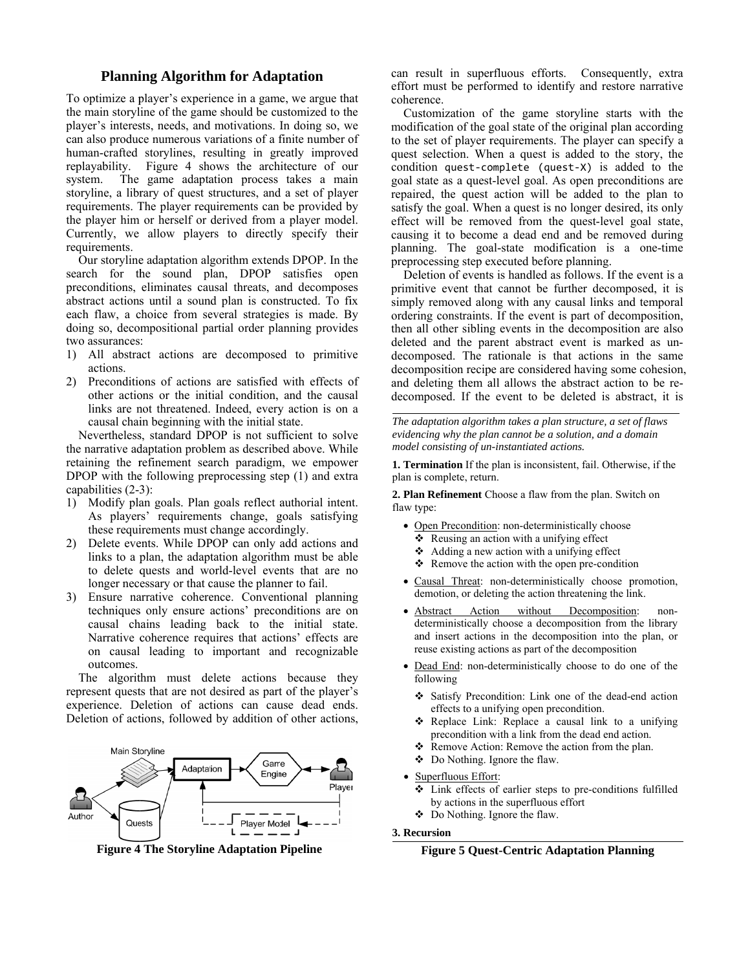# **Planning Algorithm for Adaptation**

To optimize a player's experience in a game, we argue that the main storyline of the game should be customized to the player's interests, needs, and motivations. In doing so, we can also produce numerous variations of a finite number of human-crafted storylines, resulting in greatly improved replayability. Figure 4 shows the architecture of our s system. The storyline, a library of quest structures, and a set of player requirements. The player requirements can be provided by the player him or herself or derived from a player model. Currently, we allow players to directly specify their r requirements. game adaptation process takes a main

search for the sound plan, DPOP satisfies open preconditions, eliminates causal threats, and decomposes abstract actions until a sound plan is constructed. To fix each flaw, a choice from several strategies is made. By doing so, decompositional partial order planning provides two assurances: Our storyline adaptation algorithm extends DPOP. In the

- 1) All abstract actions are decomposed to primitive actions.
- 2) Preconditions of actions are satisfied with effects of other actions or the initial condition, and the causal links are not threatened. Indeed, every action is on a causal chain beginning with the initial state.

the narrative adaptation problem as described above. While retaining the refinement search paradigm, we empower DPOP with the following preprocessing step (1) and extra c capabilities (2-3 3): Nevertheless, standard DPOP is not sufficient to solve

- 1) Modify plan goals. Plan goals reflect authorial intent. As players' requirements change, goals satisfying these requirements must change accordingly.
- 2) 2) Delete events. While DPOP can only add actions and links to a plan, the adaptation algorithm must be able to delete quests and world-level events that are no longer necessary or that cause the planner to fail.
- 3) 3) Ensure narrative coherence. Conventional planning techniques only ensure actions' preconditions are on causal chains leading back to the initial state. Narrative coherence requires that actions' effects are on causal leading to important and recognizable outcomes.

represent quests that are not desired as part of the player's experience. Deletion of actions can cause dead ends. Deletion of actions, followed by addition of other actions, The algorithm must delete actions because they



**Figure 4 4 The Storyline e Adaptation Pipeline**

can result in superfluous efforts. Consequently, extra effort must be performed to identify and restore narrative coherence.

Customization of the game storyline starts with the modification of the goal state of the original plan according to the set of player requirements. The player can specify a quest selection. Wh hen a quest is added to the story, the condition quest-complete (quest-X) is added to the goal state as a quest-level goal. As open preconditions are repair ed, the quest action will b be added to th he plan to satisfy the goal. When a quest is no longer desired, its only effect will be removed from the quest-level goal state, causing it to become a dead end and be removed during planning. The goal-state modification is a one-time preprocessing step executed before planning.

Deletion of events is handled as follows. If the event is a primitive event that cannot be further decomposed, it is simply removed along with any causal links and temporal ordering constraints. If the event is part of decomposition, then all other sibling events in the decomposition are also deleted and the parent abstract event is marked as undecomposed. The rationale is that actions in the same decomposition recipe are considered having some cohesion, and deleting them all allows the abstract action to be redecomposed. If the event to be deleted is abstract, it is

*The adaptation algorithm takes a plan structure, a set of flaws evidencing why the plan cannot be a solution, and a domain model consisting of un-instantiated actions.* 

**1. Termination** If the plan is inconsistent, fail. Otherwise, if the plan is complete, return.

2. Plan Refinement Choose a flaw from the plan. Switch on flaw type:

- Open Precondition: non-deterministically choose
	- $\triangleleft$  Reusing an action with a unifying effect
	- ❖ Adding a new action with a unifying effect
- $\triangle$  Remove the action with the open pre-condition
- Causal Threat: non-deterministically choose promotion, demotion, or deleting the action threatening the link.
- A Abstract Actio deterministically choose a decomposition from the library and insert actions in the decomposition into the plan, or reuse existing actions as part of the decomposition on without Decomposition: non-
- Dead End: non-deterministically choose to do one of the following
	- Satisfy Precondition: Link one of the dead-end action effects to a unifying open precondition.
	- Replace Link: Replace a causal link to a unifying precondition with a link from the dead end action.
	- $\mathcal{L}$ ❖ Remove Action: Remove the action from the plan.
	- Do Nothing. I Ignore the flaw.
- Superfluous Effort:
	- ÷ • Link effects of earlier steps to pre-conditions fulfilled by actions in the superfluous effort
	- Do Nothing. I Ignore the flaw.

#### **3. Rec cursion**

**Figure 5 Quest-Centric Adaptation Planning**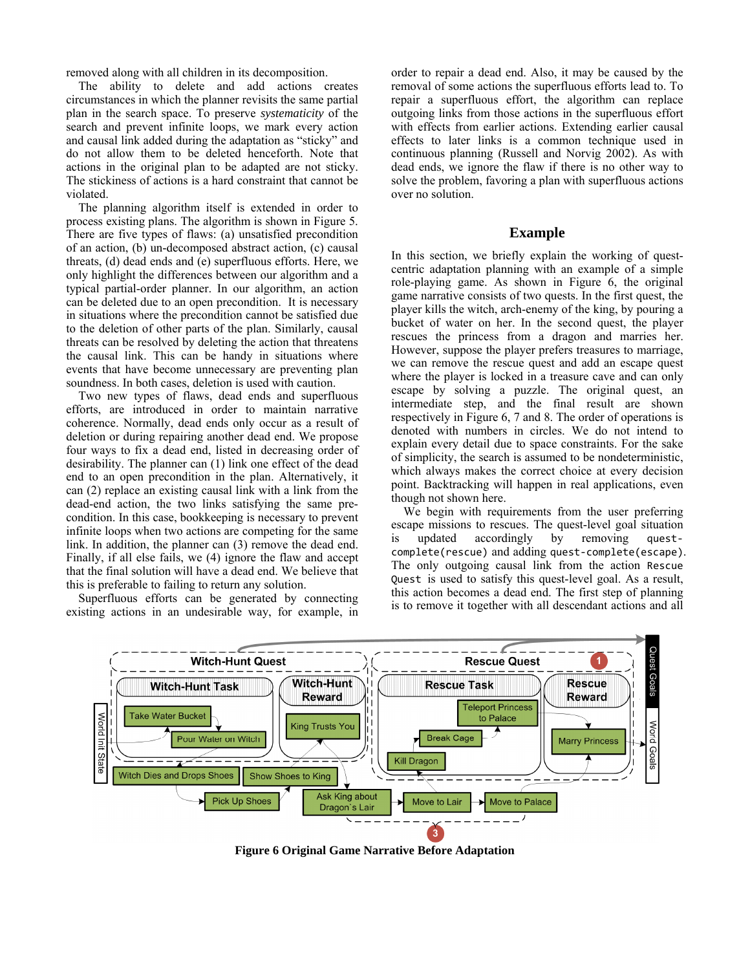removed along with all children in its decomposition.

The ability to delete and add actions creates circumstances in which the planner revisits the same partial plan in the search space. To preserve *systematicity* of the search and prevent infinite loops, we mark every action and causal link added during the adaptation as "sticky" and do not allow them to be deleted henceforth. Note that actions in the original plan to be adapted are not sticky. The stickiness of actions is a hard constraint that cannot be violated.

The planning algorithm itself is extended in order to process existing plans. The algorithm is shown in Figure 5. There are five types of flaws: (a) unsatisfied precondition of an action, (b) un-decomposed abstract action, (c) causal threats, (d) dead ends and (e) superfluous efforts. Here, we only highlight the differences between our algorithm and a typical partial-order planner. In our algorithm, an action can be deleted due to an open precondition. It is necessary in situations where the precondition cannot be satisfied due to the deletion of other parts of the plan. Similarly, causal threats can be resolved by deleting the action that threatens the causal link. This can be handy in situations where events that have become unnecessary are preventing plan soundness. In both cases, deletion is used with caution.

Two new types of flaws, dead ends and superfluous efforts, are introduced in order to maintain narrative coherence. Normally, dead ends only occur as a result of deletion or during repairing another dead end. We propose four ways to fix a dead end, listed in decreasing order of desirability. The planner can (1) link one effect of the dead end to an open precondition in the plan. Alternatively, it can (2) replace an existing causal link with a link from the dead-end action, the two links satisfying the same precondition. In this case, bookkeeping is necessary to prevent infinite loops when two actions are competing for the same link. In addition, the planner can (3) remove the dead end. Finally, if all else fails, we (4) ignore the flaw and accept that the final solution will have a dead end. We believe that this is preferable to failing to return any solution.

Superfluous efforts can be generated by connecting existing actions in an undesirable way, for example, in order to repair a dead end. Also, it may be caused by the removal of some actions the superfluous efforts lead to. To repair a superfluous effort, the algorithm can replace outgoing links from those actions in the superfluous effort with effects from earlier actions. Extending earlier causal effects to later links is a common technique used in continuous planning (Russell and Norvig 2002). As with dead ends, we ignore the flaw if there is no other way to solve the problem, favoring a plan with superfluous actions over no solution.

## **Example**

In this section, we briefly explain the working of questcentric adaptation planning with an example of a simple role-playing game. As shown in Figure 6, the original game narrative consists of two quests. In the first quest, the player kills the witch, arch-enemy of the king, by pouring a bucket of water on her. In the second quest, the player rescues the princess from a dragon and marries her. However, suppose the player prefers treasures to marriage, we can remove the rescue quest and add an escape quest where the player is locked in a treasure cave and can only escape by solving a puzzle. The original quest, an intermediate step, and the final result are shown respectively in Figure 6, 7 and 8. The order of operations is denoted with numbers in circles. We do not intend to explain every detail due to space constraints. For the sake of simplicity, the search is assumed to be nondeterministic, which always makes the correct choice at every decision point. Backtracking will happen in real applications, even though not shown here.

We begin with requirements from the user preferring escape missions to rescues. The quest-level goal situation<br>is updated accordingly by removing questis updated accordingly by removing questcomplete(rescue) and adding quest‐complete(escape). The only outgoing causal link from the action Rescue Quest is used to satisfy this quest-level goal. As a result, this action becomes a dead end. The first step of planning is to remove it together with all descendant actions and all



**Figure 6 Original Game Narrative Before Adaptation**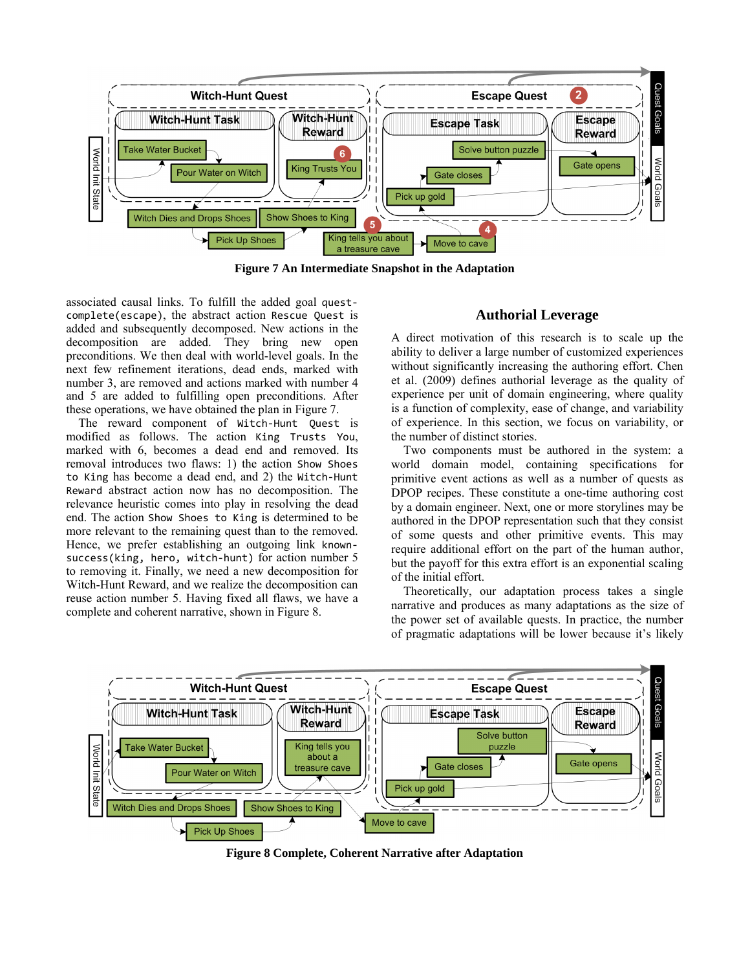

**Figure 7 An Intermediate Snapshot in the Adaptation** 

associated causal links. To fulfill the added goal quest‐ complete(escape), the abstract action Rescue Quest is added and subsequently decomposed. New actions in the decomposition are added. They bring new open preconditions. We then deal with world-level goals. In the next few refinement iterations, dead ends, marked with number 3, are removed and actions marked with number 4 and 5 are added to fulfilling open preconditions. After these operations, we have obtained the plan in Figure 7.

The reward component of Witch-Hunt Quest is modified as follows. The action King Trusts You, marked with 6, becomes a dead end and removed. Its removal introduces two flaws: 1) the action Show Shoes to King has become a dead end, and 2) the Witch‐Hunt Reward abstract action now has no decomposition. The relevance heuristic comes into play in resolving the dead end. The action Show Shoes to King is determined to be more relevant to the remaining quest than to the removed. Hence, we prefer establishing an outgoing link knownsuccess(king, hero, witch-hunt) for action number 5 to removing it. Finally, we need a new decomposition for Witch-Hunt Reward, and we realize the decomposition can reuse action number 5. Having fixed all flaws, we have a complete and coherent narrative, shown in Figure 8.

# **Authorial Leverage**

A direct motivation of this research is to scale up the ability to deliver a large number of customized experiences without significantly increasing the authoring effort. Chen et al. (2009) defines authorial leverage as the quality of experience per unit of domain engineering, where quality is a function of complexity, ease of change, and variability of experience. In this section, we focus on variability, or the number of distinct stories.

Two components must be authored in the system: a world domain model, containing specifications for primitive event actions as well as a number of quests as DPOP recipes. These constitute a one-time authoring cost by a domain engineer. Next, one or more storylines may be authored in the DPOP representation such that they consist of some quests and other primitive events. This may require additional effort on the part of the human author, but the payoff for this extra effort is an exponential scaling of the initial effort.

Theoretically, our adaptation process takes a single narrative and produces as many adaptations as the size of the power set of available quests. In practice, the number of pragmatic adaptations will be lower because it's likely



**Figure 8 Complete, Coherent Narrative after Adaptation**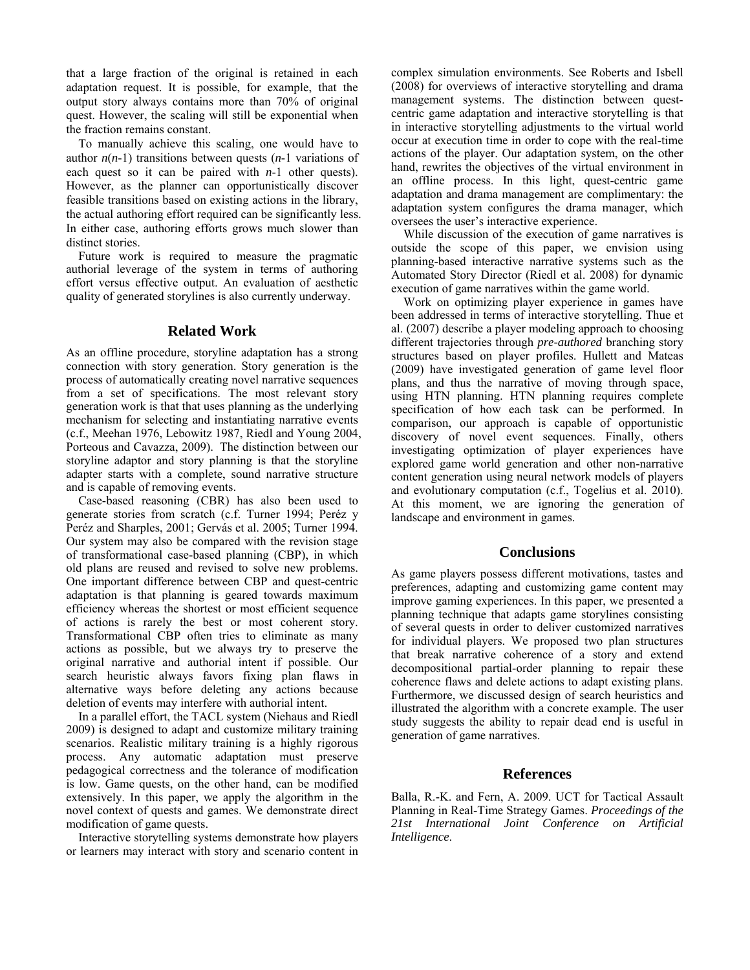that a large fraction of the original is retained in each adaptation request. It is possible, for example, that the output story always contains more than 70% of original quest. However, the scaling will still be exponential when the fraction remains constant.

To manually achieve this scaling, one would have to author  $n(n-1)$  transitions between quests  $(n-1)$  variations of each quest so it can be paired with *n*-1 other quests). However, as the planner can opportunistically discover feasible transitions based on existing actions in the library, the actual authoring effort required can be significantly less. In either case, authoring efforts grows much slower than distinct stories.

Future work is required to measure the pragmatic authorial leverage of the system in terms of authoring effort versus effective output. An evaluation of aesthetic quality of generated storylines is also currently underway.

### **Related Work**

As an offline procedure, storyline adaptation has a strong connection with story generation. Story generation is the process of automatically creating novel narrative sequences from a set of specifications. The most relevant story generation work is that that uses planning as the underlying mechanism for selecting and instantiating narrative events (c.f., Meehan 1976, Lebowitz 1987, Riedl and Young 2004, Porteous and Cavazza, 2009). The distinction between our storyline adaptor and story planning is that the storyline adapter starts with a complete, sound narrative structure and is capable of removing events.

Case-based reasoning (CBR) has also been used to generate stories from scratch (c.f. Turner 1994; Peréz y Peréz and Sharples, 2001; Gervás et al. 2005; Turner 1994. Our system may also be compared with the revision stage of transformational case-based planning (CBP), in which old plans are reused and revised to solve new problems. One important difference between CBP and quest-centric adaptation is that planning is geared towards maximum efficiency whereas the shortest or most efficient sequence of actions is rarely the best or most coherent story. Transformational CBP often tries to eliminate as many actions as possible, but we always try to preserve the original narrative and authorial intent if possible. Our search heuristic always favors fixing plan flaws in alternative ways before deleting any actions because deletion of events may interfere with authorial intent.

In a parallel effort, the TACL system (Niehaus and Riedl 2009) is designed to adapt and customize military training scenarios. Realistic military training is a highly rigorous process. Any automatic adaptation must preserve pedagogical correctness and the tolerance of modification is low. Game quests, on the other hand, can be modified extensively. In this paper, we apply the algorithm in the novel context of quests and games. We demonstrate direct modification of game quests.

Interactive storytelling systems demonstrate how players or learners may interact with story and scenario content in complex simulation environments. See Roberts and Isbell (2008) for overviews of interactive storytelling and drama management systems. The distinction between questcentric game adaptation and interactive storytelling is that in interactive storytelling adjustments to the virtual world occur at execution time in order to cope with the real-time actions of the player. Our adaptation system, on the other hand, rewrites the objectives of the virtual environment in an offline process. In this light, quest-centric game adaptation and drama management are complimentary: the adaptation system configures the drama manager, which oversees the user's interactive experience.

While discussion of the execution of game narratives is outside the scope of this paper, we envision using planning-based interactive narrative systems such as the Automated Story Director (Riedl et al. 2008) for dynamic execution of game narratives within the game world.

Work on optimizing player experience in games have been addressed in terms of interactive storytelling. Thue et al. (2007) describe a player modeling approach to choosing different trajectories through *pre-authored* branching story structures based on player profiles. Hullett and Mateas (2009) have investigated generation of game level floor plans, and thus the narrative of moving through space, using HTN planning. HTN planning requires complete specification of how each task can be performed. In comparison, our approach is capable of opportunistic discovery of novel event sequences. Finally, others investigating optimization of player experiences have explored game world generation and other non-narrative content generation using neural network models of players and evolutionary computation (c.f., Togelius et al. 2010). At this moment, we are ignoring the generation of landscape and environment in games.

# **Conclusions**

As game players possess different motivations, tastes and preferences, adapting and customizing game content may improve gaming experiences. In this paper, we presented a planning technique that adapts game storylines consisting of several quests in order to deliver customized narratives for individual players. We proposed two plan structures that break narrative coherence of a story and extend decompositional partial-order planning to repair these coherence flaws and delete actions to adapt existing plans. Furthermore, we discussed design of search heuristics and illustrated the algorithm with a concrete example. The user study suggests the ability to repair dead end is useful in generation of game narratives.

# **References**

Balla, R.-K. and Fern, A. 2009. UCT for Tactical Assault Planning in Real-Time Strategy Games. *Proceedings of the 21st International Joint Conference on Artificial Intelligence*.